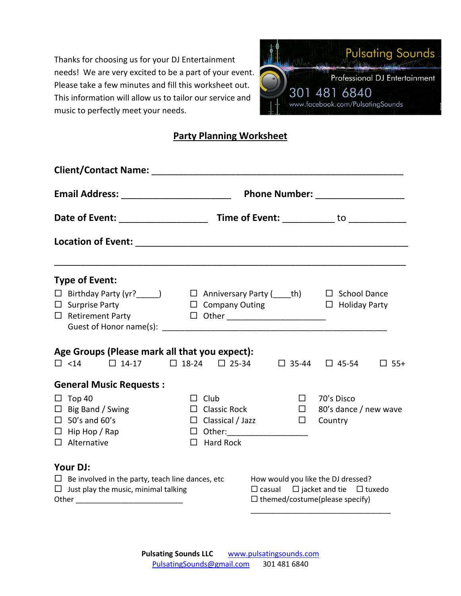Thanks for choosing us for your DJ Entertainment needs! We are very excited to be a part of your event. Please take a few minutes and fill this worksheet out. This information will allow us to tailor our service and music to perfectly meet your needs.



# **Party Planning Worksheet**

| Phone Number: _________________                         |                                                     |        |                                                                                               |
|---------------------------------------------------------|-----------------------------------------------------|--------|-----------------------------------------------------------------------------------------------|
|                                                         |                                                     |        |                                                                                               |
|                                                         |                                                     |        |                                                                                               |
| <b>Type of Event:</b>                                   |                                                     |        |                                                                                               |
|                                                         |                                                     |        |                                                                                               |
| $\Box$ Surprise Party                                   | $\Box$ Company Outing $\Box$ Holiday Party          |        |                                                                                               |
| $\Box$ Retirement Party                                 |                                                     |        |                                                                                               |
|                                                         |                                                     |        |                                                                                               |
| Age Groups (Please mark all that you expect):           |                                                     |        |                                                                                               |
| $\Box$ <14 $\Box$ 14-17                                 | $\Box$ 18-24 $\Box$ 25-34 $\Box$ 35-44 $\Box$ 45-54 |        | $\Box$ 55+                                                                                    |
| <b>General Music Requests:</b>                          |                                                     |        |                                                                                               |
| $\Box$ Top 40                                           | $\Box$ Club                                         | $\Box$ | 70's Disco                                                                                    |
| $\Box$ Big Band / Swing                                 | $\Box$ Classic Rock                                 | $\Box$ | 80's dance / new wave                                                                         |
| $\Box$ 50's and 60's                                    | $\Box$ Classical / Jazz                             | $\Box$ | Country                                                                                       |
| $\Box$ Hip Hop / Rap                                    |                                                     |        |                                                                                               |
| $\Box$ Alternative                                      | $\Box$ Hard Rock                                    |        |                                                                                               |
| Your DJ:                                                |                                                     |        |                                                                                               |
| $\Box$ Be involved in the party, teach line dances, etc |                                                     |        | How would you like the DJ dressed?                                                            |
| $\Box$ Just play the music, minimal talking             |                                                     |        | $\Box$ casual $\Box$ jacket and tie $\Box$ tuxedo<br>$\square$ themed/costume(please specify) |
|                                                         |                                                     |        |                                                                                               |